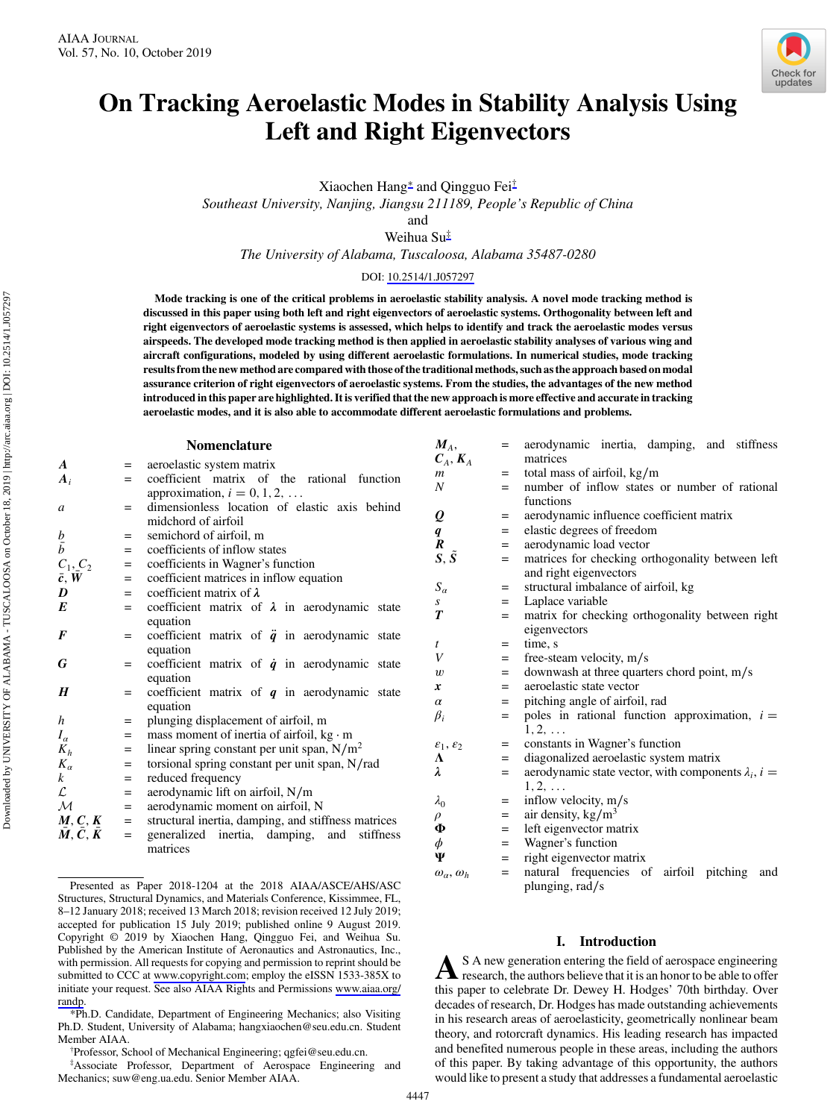

# <span id="page-0-0"></span>On Tracking Aeroelastic Modes in Stability Analysis Using Left and Right Eigenvectors

Xiaochen Hang<sup>∗</sup> and Qingguo Fei†

Southeast University, Nanjing, Jiangsu 211189, People's Republic of China

and

Weihua Su‡

The University of Alabama, Tuscaloosa, Alabama 35487-0280

# DOI: [10.2514/1.J057297](http://dx.doi.org/10.2514/1.J057297)

Mode tracking is one of the critical problems in aeroelastic stability analysis. A novel mode tracking method is discussed in this paper using both left and right eigenvectors of aeroelastic systems. Orthogonality between left and right eigenvectors of aeroelastic systems is assessed, which helps to identify and track the aeroelastic modes versus airspeeds. The developed mode tracking method is then applied in aeroelastic stability analyses of various wing and aircraft configurations, modeled by using different aeroelastic formulations. In numerical studies, mode tracking results from the new method are compared with those of the traditional methods, such as the approach based on modal assurance criterion of right eigenvectors of aeroelastic systems. From the studies, the advantages of the new method introduced in this paper are highlighted. It is verified that the new approach is more effective and accurate in tracking aeroelastic modes, and it is also able to accommodate different aeroelastic formulations and problems.

## Nomenclature

| A                                   | $=$ | aeroelastic system matrix                             |  |  |
|-------------------------------------|-----|-------------------------------------------------------|--|--|
| $A_i$                               | $=$ | coefficient matrix of the rational function           |  |  |
|                                     |     | approximation, $i = 0, 1, 2, \ldots$                  |  |  |
| a                                   | $=$ | dimensionless location of elastic axis behind         |  |  |
|                                     |     | midchord of airfoil                                   |  |  |
|                                     | $=$ | semichord of airfoil, m                               |  |  |
| $\frac{b}{b}$                       | $=$ | coefficients of inflow states                         |  |  |
|                                     | $=$ | coefficients in Wagner's function                     |  |  |
| $\frac{C_1, C_2}{\bar{c}, \bar{W}}$ | $=$ | coefficient matrices in inflow equation               |  |  |
| D                                   | $=$ | coefficient matrix of $\lambda$                       |  |  |
| E                                   | $=$ | coefficient matrix of $\lambda$ in aerodynamic state  |  |  |
|                                     |     | equation                                              |  |  |
| F                                   | $=$ | coefficient matrix of $\ddot{q}$ in aerodynamic state |  |  |
|                                     |     | equation                                              |  |  |
| G                                   | $=$ | coefficient matrix of $\dot{q}$ in aerodynamic state  |  |  |
|                                     |     | equation                                              |  |  |
| H                                   | $=$ | coefficient matrix of $q$ in aerodynamic state        |  |  |
|                                     |     | equation                                              |  |  |
| h                                   | $=$ | plunging displacement of airfoil, m                   |  |  |
| $I_{\alpha}$                        | $=$ | mass moment of inertia of airfoil, $kg \cdot m$       |  |  |
| $K_h$                               | $=$ | linear spring constant per unit span, $N/m^2$         |  |  |
| $K_{\alpha}$                        | $=$ | torsional spring constant per unit span, N/rad        |  |  |
| $\boldsymbol{k}$                    | $=$ | reduced frequency                                     |  |  |
| $\mathcal{L}% _{G}$                 | $=$ | aerodynamic lift on airfoil, N/m                      |  |  |
| $\overline{\mathcal{M}}$            | $=$ | aerodynamic moment on airfoil, N                      |  |  |
| M, C, K                             | $=$ | structural inertia, damping, and stiffness matrices   |  |  |
| $M, C, \bar{K}$                     | $=$ | generalized inertia, damping,<br>and<br>stiffness     |  |  |

generalized inertia, damping, and stiffness matrices

‡ Associate Professor, Department of Aerospace Engineering and Mechanics; suw@eng.ua.edu. Senior Member AIAA.

| $M_A$ ,<br>$C_A, K_A$          | $=$ | aerodynamic inertia, damping, and stiffness<br>matrices           |  |  |  |
|--------------------------------|-----|-------------------------------------------------------------------|--|--|--|
| $\boldsymbol{m}$               | $=$ | total mass of airfoil, kg/m                                       |  |  |  |
| $\boldsymbol{N}$               | $=$ | number of inflow states or number of rational                     |  |  |  |
|                                |     | functions                                                         |  |  |  |
| Q                              | $=$ | aerodynamic influence coefficient matrix                          |  |  |  |
|                                | $=$ | elastic degrees of freedom                                        |  |  |  |
| q<br>$\boldsymbol{R}$          | $=$ | aerodynamic load vector                                           |  |  |  |
| $S, \tilde{S}$                 |     |                                                                   |  |  |  |
|                                | $=$ | matrices for checking orthogonality between left                  |  |  |  |
|                                |     | and right eigenvectors                                            |  |  |  |
| $S_{\alpha}$                   | $=$ | structural imbalance of airfoil, kg                               |  |  |  |
| S                              | $=$ | Laplace variable                                                  |  |  |  |
| T                              | $=$ | matrix for checking orthogonality between right                   |  |  |  |
|                                |     | eigenvectors                                                      |  |  |  |
| t                              | $=$ | time, s                                                           |  |  |  |
| V                              | $=$ | free-steam velocity, m/s                                          |  |  |  |
| $\boldsymbol{w}$               | $=$ | downwash at three quarters chord point, m/s                       |  |  |  |
| x                              | $=$ | aeroelastic state vector                                          |  |  |  |
| $\alpha$                       | $=$ | pitching angle of airfoil, rad                                    |  |  |  |
| $\beta_i$                      | $=$ | poles in rational function approximation, $i =$<br>$1, 2, \ldots$ |  |  |  |
| $\varepsilon_1, \varepsilon_2$ | $=$ | constants in Wagner's function                                    |  |  |  |
| Λ                              | $=$ | diagonalized aeroelastic system matrix                            |  |  |  |
| λ                              | $=$ | aerodynamic state vector, with components $\lambda_i$ , $i =$     |  |  |  |
|                                |     | 1, 2,                                                             |  |  |  |
| $\lambda_0$                    | $=$ | inflow velocity, m/s                                              |  |  |  |
| $\rho$                         | $=$ | air density, $\text{kg/m}^3$                                      |  |  |  |
| Ф                              | $=$ | left eigenvector matrix                                           |  |  |  |
| $\phi$                         | $=$ | Wagner's function                                                 |  |  |  |
| Ψ                              | $=$ | right eigenvector matrix                                          |  |  |  |
| $\omega_a, \omega_h$           | $=$ | natural frequencies of<br>airfoil<br>pitching<br>and              |  |  |  |
|                                |     | plunging, rad/s                                                   |  |  |  |

# I. Introduction

A S A new generation entering the field of aerospace engineering<br>research, the authors believe that it is an honor to be able to offer this paper to celebrate Dr. Dewey H. Hodges' 70th birthday. Over decades of research, Dr. Hodges has made outstanding achievements in his research areas of aeroelasticity, geometrically nonlinear beam theory, and rotorcraft dynamics. His leading research has impacted and benefited numerous people in these areas, including the authors of this paper. By taking advantage of this opportunity, the authors would like to present a study that addresses a fundamental aeroelastic

 $\frac{b}{b}$ <br> $C_1$ ,

Presented as Paper 2018-1204 at the 2018 AIAA/ASCE/AHS/ASC Structures, Structural Dynamics, and Materials Conference, Kissimmee, FL, 8–12 January 2018; received 13 March 2018; revision received 12 July 2019; accepted for publication 15 July 2019; published online 9 August 2019. Copyright © 2019 by Xiaochen Hang, Qingguo Fei, and Weihua Su. Published by the American Institute of Aeronautics and Astronautics, Inc., with permission. All requests for copying and permission to reprint should be submitted to CCC at<www.copyright.com>; employ the eISSN 1533-385X to initiate your request. See also AIAA Rights and Permissions [www.aiaa.org/](www.aiaa.org/randp) [randp](www.aiaa.org/randp).

<sup>\*</sup>Ph.D. Candidate, Department of Engineering Mechanics; also Visiting Ph.D. Student, University of Alabama; hangxiaochen@seu.edu.cn. Student Member AIAA.

Professor, School of Mechanical Engineering; qgfei@seu.edu.cn.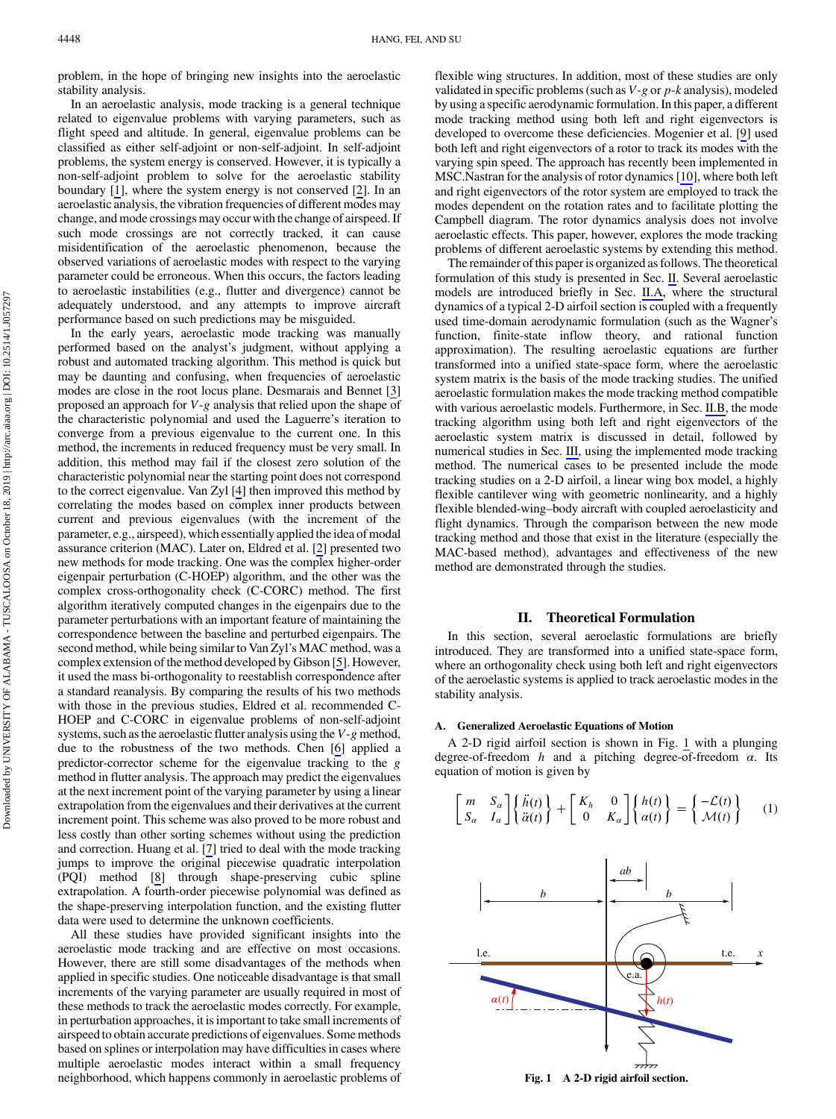<span id="page-1-0"></span>problem, in the hope of bringing new insights into the aeroelastic stability analysis.

In an aeroelastic analysis, mode tracking is a general technique related to eigenvalue problems with varying parameters, such as flight speed and altitude. In general, eigenvalue problems can be classified as either self-adjoint or non-self-adjoint. In self-adjoint problems, the system energy is conserved. However, it is typically a non-self-adjoint problem to solve for the aeroelastic stability boundary [[1](#page-10-0)], where the system energy is not conserved [[2\]](#page-10-0). In an aeroelastic analysis, the vibration frequencies of different modes may change, and mode crossings may occur with the change of airspeed. If such mode crossings are not correctly tracked, it can cause misidentification of the aeroelastic phenomenon, because the observed variations of aeroelastic modes with respect to the varying parameter could be erroneous. When this occurs, the factors leading to aeroelastic instabilities (e.g., flutter and divergence) cannot be adequately understood, and any attempts to improve aircraft performance based on such predictions may be misguided.

In the early years, aeroelastic mode tracking was manually performed based on the analyst's judgment, without applying a robust and automated tracking algorithm. This method is quick but may be daunting and confusing, when frequencies of aeroelastic modes are close in the root locus plane. Desmarais and Bennet [\[3\]](#page-10-0) proposed an approach for  $V-g$  analysis that relied upon the shape of the characteristic polynomial and used the Laguerre's iteration to converge from a previous eigenvalue to the current one. In this method, the increments in reduced frequency must be very small. In addition, this method may fail if the closest zero solution of the characteristic polynomial near the starting point does not correspond to the correct eigenvalue. Van Zyl [[4](#page-10-0)] then improved this method by correlating the modes based on complex inner products between current and previous eigenvalues (with the increment of the parameter, e.g., airspeed), which essentially applied the idea of modal assurance criterion (MAC). Later on, Eldred et al. [\[2\]](#page-10-0) presented two new methods for mode tracking. One was the complex higher-order eigenpair perturbation (C-HOEP) algorithm, and the other was the complex cross-orthogonality check (C-CORC) method. The first algorithm iteratively computed changes in the eigenpairs due to the parameter perturbations with an important feature of maintaining the correspondence between the baseline and perturbed eigenpairs. The second method, while being similar to Van Zyl's MAC method, was a complex extension of the method developed by Gibson [\[5\]](#page-10-0). However, it used the mass bi-orthogonality to reestablish correspondence after a standard reanalysis. By comparing the results of his two methods with those in the previous studies, Eldred et al. recommended C-HOEP and C-CORC in eigenvalue problems of non-self-adjoint systems, such as the aeroelastic flutter analysis using the V-g method, due to the robustness of the two methods. Chen [\[6\]](#page-10-0) applied a predictor-corrector scheme for the eigenvalue tracking to the g method in flutter analysis. The approach may predict the eigenvalues at the next increment point of the varying parameter by using a linear extrapolation from the eigenvalues and their derivatives at the current increment point. This scheme was also proved to be more robust and less costly than other sorting schemes without using the prediction and correction. Huang et al. [\[7\]](#page-10-0) tried to deal with the mode tracking jumps to improve the original piecewise quadratic interpolation (PQI) method [\[8\]](#page-10-0) through shape-preserving cubic spline extrapolation. A fourth-order piecewise polynomial was defined as the shape-preserving interpolation function, and the existing flutter data were used to determine the unknown coefficients.

All these studies have provided significant insights into the aeroelastic mode tracking and are effective on most occasions. However, there are still some disadvantages of the methods when applied in specific studies. One noticeable disadvantage is that small increments of the varying parameter are usually required in most of these methods to track the aeroelastic modes correctly. For example, in perturbation approaches, it is important to take small increments of airspeed to obtain accurate predictions of eigenvalues. Some methods based on splines or interpolation may have difficulties in cases where multiple aeroelastic modes interact within a small frequency neighborhood, which happens commonly in aeroelastic problems of flexible wing structures. In addition, most of these studies are only validated in specific problems (such as  $V-g$  or  $p-k$  analysis), modeled by using a specific aerodynamic formulation. In this paper, a different mode tracking method using both left and right eigenvectors is developed to overcome these deficiencies. Mogenier et al. [\[9\]](#page-10-0) used both left and right eigenvectors of a rotor to track its modes with the varying spin speed. The approach has recently been implemented in MSC.Nastran for the analysis of rotor dynamics [\[10](#page-10-0)], where both left and right eigenvectors of the rotor system are employed to track the modes dependent on the rotation rates and to facilitate plotting the Campbell diagram. The rotor dynamics analysis does not involve aeroelastic effects. This paper, however, explores the mode tracking problems of different aeroelastic systems by extending this method.

The remainder of this paper is organized as follows. The theoretical formulation of this study is presented in Sec. II. Several aeroelastic models are introduced briefly in Sec. II.A, where the structural dynamics of a typical 2-D airfoil section is coupled with a frequently used time-domain aerodynamic formulation (such as the Wagner's function, finite-state inflow theory, and rational function approximation). The resulting aeroelastic equations are further transformed into a unified state-space form, where the aeroelastic system matrix is the basis of the mode tracking studies. The unified aeroelastic formulation makes the mode tracking method compatible with various aeroelastic models. Furthermore, in Sec. [II.B,](#page-4-0) the mode tracking algorithm using both left and right eigenvectors of the aeroelastic system matrix is discussed in detail, followed by numerical studies in Sec. [III,](#page-4-0) using the implemented mode tracking method. The numerical cases to be presented include the mode tracking studies on a 2-D airfoil, a linear wing box model, a highly flexible cantilever wing with geometric nonlinearity, and a highly flexible blended-wing–body aircraft with coupled aeroelasticity and flight dynamics. Through the comparison between the new mode tracking method and those that exist in the literature (especially the MAC-based method), advantages and effectiveness of the new method are demonstrated through the studies.

## II. Theoretical Formulation

In this section, several aeroelastic formulations are briefly introduced. They are transformed into a unified state-space form, where an orthogonality check using both left and right eigenvectors of the aeroelastic systems is applied to track aeroelastic modes in the stability analysis.

#### A. Generalized Aeroelastic Equations of Motion

A 2-D rigid airfoil section is shown in Fig. 1 with a plunging degree-of-freedom  $h$  and a pitching degree-of-freedom  $\alpha$ . Its equation of motion is given by

$$
\begin{bmatrix} m & S_{\alpha} \\ S_{\alpha} & I_{\alpha} \end{bmatrix} \begin{Bmatrix} \ddot{h}(t) \\ \ddot{\alpha}(t) \end{Bmatrix} + \begin{bmatrix} K_{h} & 0 \\ 0 & K_{\alpha} \end{bmatrix} \begin{Bmatrix} h(t) \\ \alpha(t) \end{Bmatrix} = \begin{Bmatrix} -\mathcal{L}(t) \\ \mathcal{M}(t) \end{Bmatrix} \tag{1}
$$

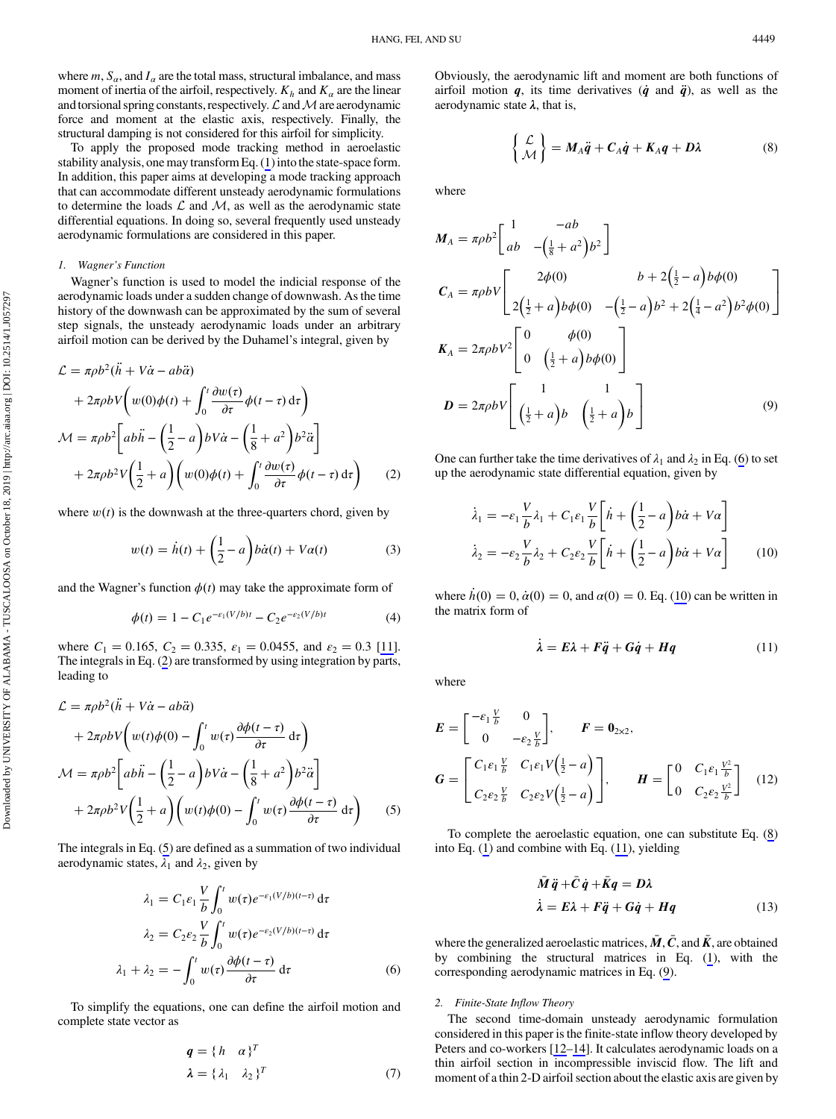<span id="page-2-0"></span>where  $m$ ,  $S_\alpha$ , and  $I_\alpha$  are the total mass, structural imbalance, and mass moment of inertia of the airfoil, respectively.  $K_h$  and  $K_\alpha$  are the linear and torsional spring constants, respectively.  $\mathcal L$  and  $\mathcal M$  are aerodynamic force and moment at the elastic axis, respectively. Finally, the structural damping is not considered for this airfoil for simplicity.

To apply the proposed mode tracking method in aeroelastic stability analysis, one may transform Eq. [\(1\)](#page-1-0) into the state-space form. In addition, this paper aims at developing a mode tracking approach that can accommodate different unsteady aerodynamic formulations to determine the loads  $\mathcal L$  and  $\mathcal M$ , as well as the aerodynamic state differential equations. In doing so, several frequently used unsteady aerodynamic formulations are considered in this paper.

# 1. Wagner's Function

Wagner's function is used to model the indicial response of the aerodynamic loads under a sudden change of downwash. As the time history of the downwash can be approximated by the sum of several step signals, the unsteady aerodynamic loads under an arbitrary airfoil motion can be derived by the Duhamel's integral, given by

$$
\mathcal{L} = \pi \rho b^2 (\ddot{h} + V\dot{\alpha} - a b \ddot{\alpha})
$$
  
+  $2\pi \rho b V \left( w(0) \phi(t) + \int_0^t \frac{\partial w(\tau)}{\partial \tau} \phi(t - \tau) d\tau \right)$   

$$
\mathcal{M} = \pi \rho b^2 \left[ a b \ddot{h} - \left( \frac{1}{2} - a \right) b V \dot{\alpha} - \left( \frac{1}{8} + a^2 \right) b^2 \ddot{\alpha} \right]
$$
  
+  $2\pi \rho b^2 V \left( \frac{1}{2} + a \right) \left( w(0) \phi(t) + \int_0^t \frac{\partial w(\tau)}{\partial \tau} \phi(t - \tau) d\tau \right)$  (2)

where  $w(t)$  is the downwash at the three-quarters chord, given by

$$
w(t) = \dot{h}(t) + \left(\frac{1}{2} - a\right) b\dot{\alpha}(t) + V\alpha(t) \tag{3}
$$

and the Wagner's function  $\phi(t)$  may take the approximate form of

$$
\phi(t) = 1 - C_1 e^{-\varepsilon_1 (V/b)t} - C_2 e^{-\varepsilon_2 (V/b)t}
$$
 (4)

where  $C_1 = 0.165$ ,  $C_2 = 0.335$ ,  $\varepsilon_1 = 0.0455$ , and  $\varepsilon_2 = 0.3$  [\[11](#page-10-0)]. The integrals in Eq. (2) are transformed by using integration by parts, leading to

$$
\mathcal{L} = \pi \rho b^2 (\ddot{h} + V\dot{\alpha} - a b \ddot{\alpha})
$$
  
+  $2\pi \rho b V \left( w(t) \phi(0) - \int_0^t w(\tau) \frac{\partial \phi(t - \tau)}{\partial \tau} d\tau \right)$   

$$
\mathcal{M} = \pi \rho b^2 \left[ a b \ddot{h} - \left( \frac{1}{2} - a \right) b V \dot{\alpha} - \left( \frac{1}{8} + a^2 \right) b^2 \ddot{\alpha} \right]
$$
  
+  $2\pi \rho b^2 V \left( \frac{1}{2} + a \right) \left( w(t) \phi(0) - \int_0^t w(\tau) \frac{\partial \phi(t - \tau)}{\partial \tau} d\tau \right)$  (5)

The integrals in Eq. (5) are defined as a summation of two individual aerodynamic states,  $\lambda_1$  and  $\lambda_2$ , given by

$$
\lambda_1 = C_1 \varepsilon_1 \frac{V}{b} \int_0^t w(\tau) e^{-\varepsilon_1 (V/b)(t-\tau)} d\tau
$$

$$
\lambda_2 = C_2 \varepsilon_2 \frac{V}{b} \int_0^t w(\tau) e^{-\varepsilon_2 (V/b)(t-\tau)} d\tau
$$

$$
\lambda_1 + \lambda_2 = -\int_0^t w(\tau) \frac{\partial \phi(t-\tau)}{\partial \tau} d\tau
$$
(6)

To simplify the equations, one can define the airfoil motion and complete state vector as

$$
\mathbf{q} = \{h \quad \alpha\}^T
$$
  

$$
\lambda = \{\lambda_1 \quad \lambda_2\}^T
$$
 (7)

Obviously, the aerodynamic lift and moment are both functions of airfoil motion  $q$ , its time derivatives  $(\dot{q}$  and  $\ddot{q}$ ), as well as the aerodynamic state  $λ$ , that is,

$$
\begin{Bmatrix} \mathcal{L} \\ \mathcal{M} \end{Bmatrix} = M_A \ddot{q} + C_A \dot{q} + K_A q + D\lambda \tag{8}
$$

where

$$
M_{A} = \pi \rho b^{2} \begin{bmatrix} 1 & -ab \\ ab & -(\frac{1}{8} + a^{2})b^{2} \end{bmatrix}
$$
  
\n
$$
C_{A} = \pi \rho b V \begin{bmatrix} 2\phi(0) & b + 2(\frac{1}{2} - a) b\phi(0) \\ 2(\frac{1}{2} + a) b\phi(0) & -(\frac{1}{2} - a) b^{2} + 2(\frac{1}{4} - a^{2})b^{2}\phi(0) \end{bmatrix}
$$
  
\n
$$
K_{A} = 2\pi \rho b V^{2} \begin{bmatrix} 0 & \phi(0) \\ 0 & (\frac{1}{2} + a) b\phi(0) \end{bmatrix}
$$
  
\n
$$
D = 2\pi \rho b V \begin{bmatrix} 1 & 1 \\ (\frac{1}{2} + a) b & (\frac{1}{2} + a) b \end{bmatrix}
$$
 (9)

One can further take the time derivatives of  $\lambda_1$  and  $\lambda_2$  in Eq. (6) to set up the aerodynamic state differential equation, given by

$$
\dot{\lambda}_1 = -\varepsilon_1 \frac{V}{b} \lambda_1 + C_1 \varepsilon_1 \frac{V}{b} \left[ \dot{h} + \left( \frac{1}{2} - a \right) b \dot{\alpha} + V a \right]
$$
\n
$$
\dot{\lambda}_2 = -\varepsilon_2 \frac{V}{b} \lambda_2 + C_2 \varepsilon_2 \frac{V}{b} \left[ \dot{h} + \left( \frac{1}{2} - a \right) b \dot{\alpha} + V a \right]
$$
\n(10)

where  $\dot{h}(0) = 0$ ,  $\dot{\alpha}(0) = 0$ , and  $\alpha(0) = 0$ . Eq. (10) can be written in the matrix form of

$$
\dot{\lambda} = E\lambda + F\ddot{q} + G\dot{q} + Hq \tag{11}
$$

where

$$
E = \begin{bmatrix} -\varepsilon_1 \frac{V}{b} & 0\\ 0 & -\varepsilon_2 \frac{V}{b} \end{bmatrix}, \qquad F = 0_{2 \times 2},
$$
  
\n
$$
G = \begin{bmatrix} C_1 \varepsilon_1 \frac{V}{b} & C_1 \varepsilon_1 V(\frac{1}{2} - a)\\ C_2 \varepsilon_2 \frac{V}{b} & C_2 \varepsilon_2 V(\frac{1}{2} - a) \end{bmatrix}, \qquad H = \begin{bmatrix} 0 & C_1 \varepsilon_1 \frac{V^2}{b} \\ 0 & C_2 \varepsilon_2 \frac{V^2}{b} \end{bmatrix}
$$
(12)

To complete the aeroelastic equation, one can substitute Eq. (8) into Eq. ([1](#page-1-0)) and combine with Eq. (11), yielding

$$
\begin{aligned}\n\bar{M}\ddot{q} + \bar{C}\dot{q} + \bar{K}q &= D\lambda \\
\dot{\lambda} &= E\lambda + F\ddot{q} + G\dot{q} + Hq\n\end{aligned} \tag{13}
$$

where the generalized aeroelastic matrices,  $\bar{M}$ ,  $\bar{C}$ , and  $\bar{K}$ , are obtained by combining the structural matrices in Eq. ([1](#page-1-0)), with the corresponding aerodynamic matrices in Eq. (9).

### 2. Finite-State Inflow Theory

The second time-domain unsteady aerodynamic formulation considered in this paper is the finite-state inflow theory developed by Peters and co-workers [[12](#page-10-0)–[14\]](#page-10-0). It calculates aerodynamic loads on a thin airfoil section in incompressible inviscid flow. The lift and moment of a thin 2-D airfoil section about the elastic axis are given by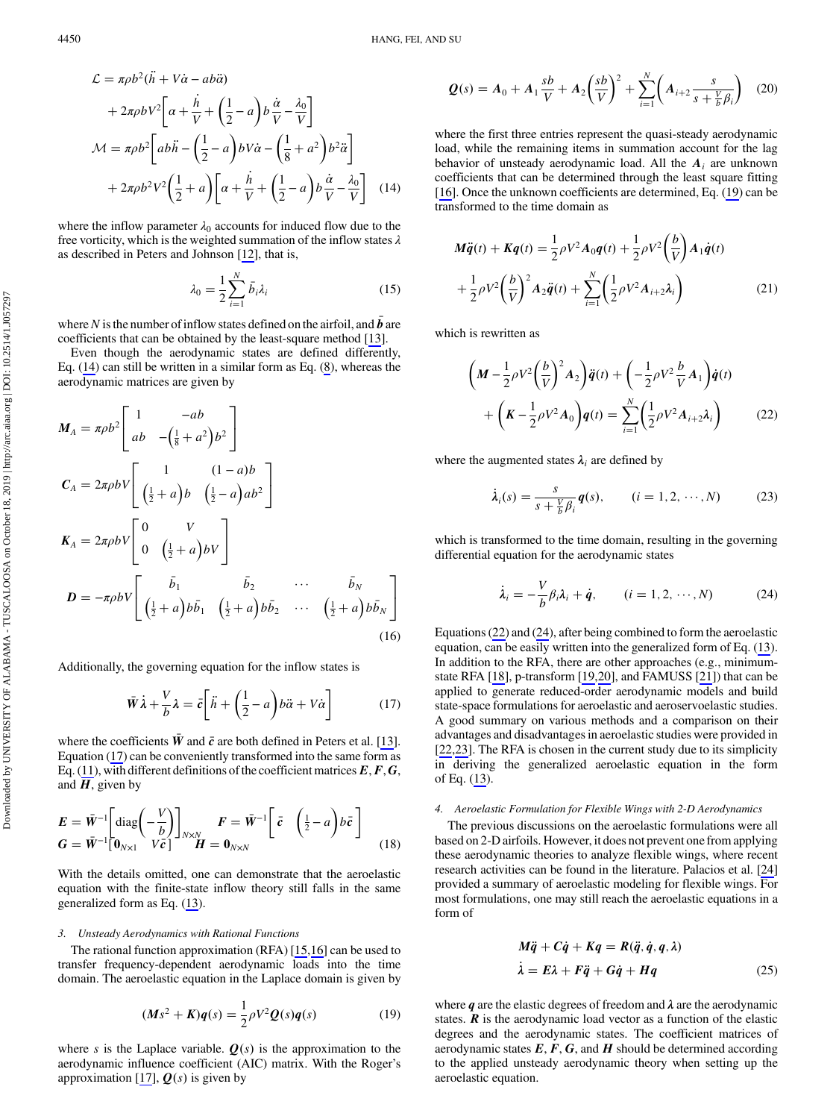<span id="page-3-0"></span>
$$
\mathcal{L} = \pi \rho b^2 (\ddot{h} + V\dot{\alpha} - a b \ddot{\alpha})
$$
  
+  $2\pi \rho b V^2 \bigg[ \alpha + \frac{\dot{h}}{V} + \left(\frac{1}{2} - a\right) b \frac{\dot{\alpha}}{V} - \frac{\lambda_0}{V} \bigg]$   

$$
\mathcal{M} = \pi \rho b^2 \bigg[ a b \ddot{h} - \left(\frac{1}{2} - a\right) b V \dot{\alpha} - \left(\frac{1}{8} + a^2\right) b^2 \ddot{\alpha} \bigg]
$$
  
+  $2\pi \rho b^2 V^2 \bigg( \frac{1}{2} + a \bigg) \bigg[ \alpha + \frac{\dot{h}}{V} + \left(\frac{1}{2} - a\right) b \frac{\dot{\alpha}}{V} - \frac{\lambda_0}{V} \bigg]$  (14)

where the inflow parameter  $\lambda_0$  accounts for induced flow due to the free vorticity, which is the weighted summation of the inflow states  $\lambda$ as described in Peters and Johnson [[12\]](#page-10-0), that is,

$$
\lambda_0 = \frac{1}{2} \sum_{i=1}^{N} \bar{b}_i \lambda_i
$$
\n(15)

where N is the number of inflow states defined on the airfoil, and  $\vec{b}$  are coefficients that can be obtained by the least-square method [13] coefficients that can be obtained by the least-square method [[13\]](#page-10-0).

Even though the aerodynamic states are defined differently, Eq. ([14\)](#page-2-0) can still be written in a similar form as Eq. ([8](#page-2-0)), whereas the aerodynamic matrices are given by

$$
M_A = \pi \rho b^2 \begin{bmatrix} 1 & -ab \\ ab & -(\frac{1}{8} + a^2) b^2 \end{bmatrix}
$$
  
\n
$$
C_A = 2\pi \rho b V \begin{bmatrix} 1 & (1-a)b \\ (\frac{1}{2} + a) b & (\frac{1}{2} - a) ab^2 \end{bmatrix}
$$
  
\n
$$
K_A = 2\pi \rho b V \begin{bmatrix} 0 & V \\ 0 & (\frac{1}{2} + a) bV \end{bmatrix}
$$
  
\n
$$
D = -\pi \rho b V \begin{bmatrix} \bar{b}_1 & \bar{b}_2 & \cdots & \bar{b}_N \\ (\frac{1}{2} + a) b \bar{b}_1 & (\frac{1}{2} + a) b \bar{b}_2 & \cdots & (\frac{1}{2} + a) b \bar{b}_N \end{bmatrix}
$$
  
\n(16)

Additionally, the governing equation for the inflow states is

$$
\bar{W}\dot{\lambda} + \frac{V}{b}\lambda = \bar{c}\bigg[\ddot{n} + \bigg(\frac{1}{2} - a\bigg)b\ddot{\alpha} + V\dot{\alpha}\bigg]
$$
(17)

where the coefficients  $\bar{W}$  and  $\bar{c}$  are both defined in Peters et al. [\[13](#page-10-0)]. Equation (17) can be conveniently transformed into the same form as Eq. ([11\)](#page-2-0), with different definitions of the coefficient matrices  $E, F, G$ , and  $H$ , given by

$$
\mathbf{E} = \bar{\mathbf{W}}^{-1} \left[ \text{diag} \left( -\frac{V}{b} \right) \right]_{N \times N} \qquad \mathbf{F} = \bar{\mathbf{W}}^{-1} \left[ \bar{c} \quad \left( \frac{1}{2} - a \right) b \bar{c} \right] \qquad (18)
$$
\n
$$
\mathbf{G} = \bar{\mathbf{W}}^{-1} \left[ \mathbf{0}_{N \times 1} \quad V \bar{c} \right]
$$

With the details omitted, one can demonstrate that the aeroelastic equation with the finite-state inflow theory still falls in the same generalized form as Eq. ([13\)](#page-2-0).

# 3. Unsteady Aerodynamics with Rational Functions

The rational function approximation (RFA) [\[15,16](#page-10-0)] can be used to transfer frequency-dependent aerodynamic loads into the time domain. The aeroelastic equation in the Laplace domain is given by

$$
(Ms^{2} + K)q(s) = \frac{1}{2}\rho V^{2}Q(s)q(s)
$$
 (19)

where s is the Laplace variable.  $Q(s)$  is the approximation to the aerodynamic influence coefficient (AIC) matrix. With the Roger's approximation [\[17](#page-10-0)],  $Q(s)$  is given by

$$
Q(s) = A_0 + A_1 \frac{sb}{V} + A_2 \left(\frac{sb}{V}\right)^2 + \sum_{i=1}^{N} \left(A_{i+2} \frac{s}{s + \frac{V}{b} \beta_i}\right) (20)
$$

where the first three entries represent the quasi-steady aerodynamic load, while the remaining items in summation account for the lag behavior of unsteady aerodynamic load. All the  $A_i$  are unknown coefficients that can be determined through the least square fitting [\[16](#page-10-0)]. Once the unknown coefficients are determined, Eq. (19) can be transformed to the time domain as

$$
M\ddot{q}(t) + Kq(t) = \frac{1}{2}\rho V^2 A_0 q(t) + \frac{1}{2}\rho V^2 \left(\frac{b}{V}\right) A_1 \dot{q}(t) + \frac{1}{2}\rho V^2 \left(\frac{b}{V}\right)^2 A_2 \ddot{q}(t) + \sum_{i=1}^N \left(\frac{1}{2}\rho V^2 A_{i+2} \lambda_i\right)
$$
(21)

which is rewritten as

$$
\left(M - \frac{1}{2}\rho V^2 \left(\frac{b}{V}\right)^2 A_2\right) \ddot{q}(t) + \left(-\frac{1}{2}\rho V^2 \frac{b}{V} A_1\right) \dot{q}(t) + \left(K - \frac{1}{2}\rho V^2 A_0\right) q(t) = \sum_{i=1}^N \left(\frac{1}{2}\rho V^2 A_{i+2} \lambda_i\right)
$$
(22)

where the augmented states  $\lambda_i$  are defined by

$$
\dot{\lambda}_i(s) = \frac{s}{s + \frac{V}{b}\beta_i} q(s), \qquad (i = 1, 2, \cdots, N) \tag{23}
$$

which is transformed to the time domain, resulting in the governing differential equation for the aerodynamic states

$$
\dot{\lambda}_i = -\frac{V}{b}\beta_i \lambda_i + \dot{q}, \qquad (i = 1, 2, \cdots, N) \tag{24}
$$

Equations (22) and (24), after being combined to form the aeroelastic equation, can be easily written into the generalized form of Eq. [\(13](#page-2-0)). In addition to the RFA, there are other approaches (e.g., minimumstate RFA [\[18](#page-10-0)], p-transform [\[19](#page-10-0),[20\]](#page-10-0), and FAMUSS [[21\]](#page-10-0)) that can be applied to generate reduced-order aerodynamic models and build state-space formulations for aeroelastic and aeroservoelastic studies. A good summary on various methods and a comparison on their advantages and disadvantages in aeroelastic studies were provided in [\[22](#page-10-0),[23\]](#page-10-0). The RFA is chosen in the current study due to its simplicity in deriving the generalized aeroelastic equation in the form of Eq. [\(13](#page-2-0)).

# 4. Aeroelastic Formulation for Flexible Wings with 2-D Aerodynamics

The previous discussions on the aeroelastic formulations were all based on 2-D airfoils. However, it does not prevent one from applying these aerodynamic theories to analyze flexible wings, where recent research activities can be found in the literature. Palacios et al. [[24\]](#page-10-0) provided a summary of aeroelastic modeling for flexible wings. For most formulations, one may still reach the aeroelastic equations in a form of

$$
M\ddot{q} + C\dot{q} + Kq = R(\ddot{q}, \dot{q}, q, \lambda)
$$
  

$$
\dot{\lambda} = E\lambda + F\ddot{q} + G\dot{q} + Hq
$$
 (25)

where  $q$  are the elastic degrees of freedom and  $\lambda$  are the aerodynamic states.  $\bf{R}$  is the aerodynamic load vector as a function of the elastic degrees and the aerodynamic states. The coefficient matrices of aerodynamic states  $E, F, G$ , and  $H$  should be determined according to the applied unsteady aerodynamic theory when setting up the aeroelastic equation.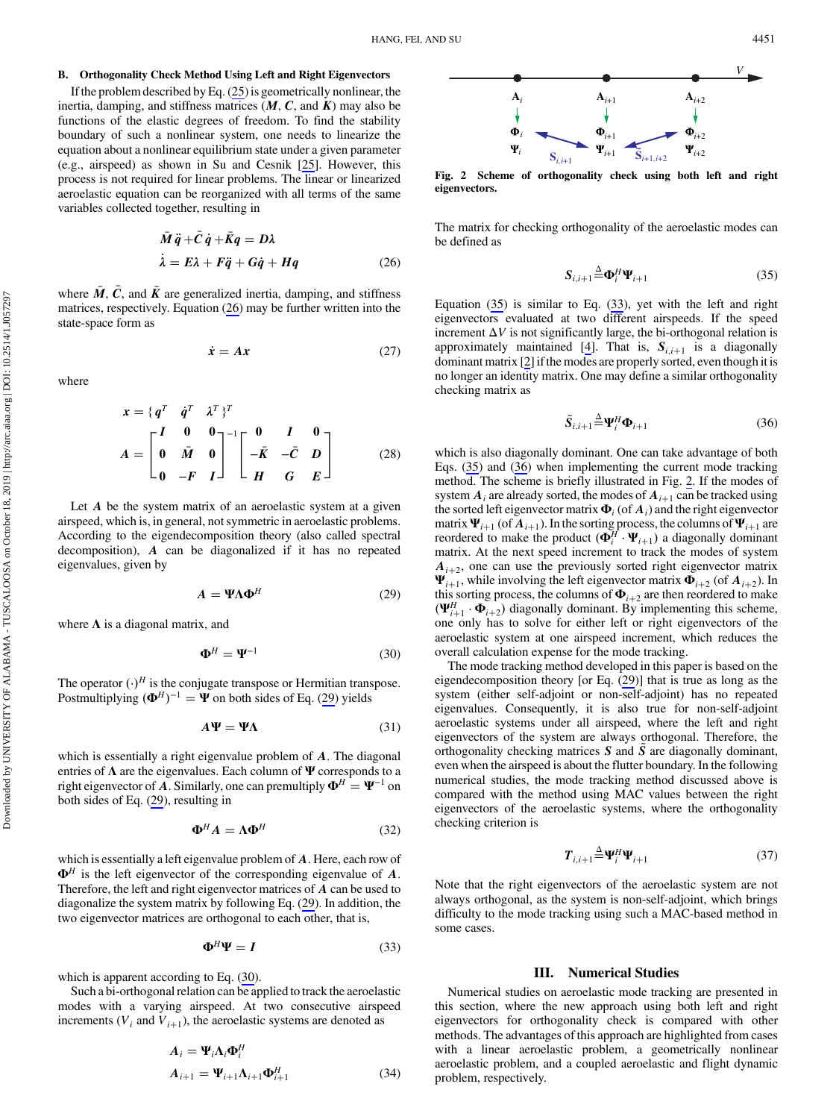## <span id="page-4-0"></span>B. Orthogonality Check Method Using Left and Right Eigenvectors

If the problem described by Eq. [\(25](#page-3-0)) is geometrically nonlinear, the inertia, damping, and stiffness matrices  $(M, C, \text{ and } K)$  may also be functions of the elastic degrees of freedom. To find the stability boundary of such a nonlinear system, one needs to linearize the equation about a nonlinear equilibrium state under a given parameter (e.g., airspeed) as shown in Su and Cesnik [\[25](#page-10-0)]. However, this process is not required for linear problems. The linear or linearized aeroelastic equation can be reorganized with all terms of the same variables collected together, resulting in

$$
\begin{aligned}\n\bar{M}\ddot{q} + \bar{C}\dot{q} + \bar{K}q &= D\lambda \\
\dot{\lambda} &= E\lambda + F\ddot{q} + G\dot{q} + Hq\n\end{aligned} \tag{26}
$$

where  $\bar{M}$ ,  $\bar{C}$ , and  $\bar{K}$  are generalized inertia, damping, and stiffness matrices, respectively. Equation (26) may be further written into the state-space form as

$$
\dot{x} = Ax \tag{27}
$$

where

$$
x = \{q^T \quad \dot{q}^T \quad \lambda^T\}^T
$$

$$
A = \begin{bmatrix} I & 0 & 0 \\ 0 & \bar{M} & 0 \\ 0 & -F & I \end{bmatrix}^{-1} \begin{bmatrix} 0 & I & 0 \\ -\bar{K} & -\bar{C} & D \\ H & G & E \end{bmatrix}
$$
(28)

Let  $A$  be the system matrix of an aeroelastic system at a given airspeed, which is, in general, not symmetric in aeroelastic problems. According to the eigendecomposition theory (also called spectral decomposition), A can be diagonalized if it has no repeated eigenvalues, given by

$$
A = \Psi \Lambda \Phi^H \tag{29}
$$

where  $\Lambda$  is a diagonal matrix, and

$$
\mathbf{\Phi}^H = \mathbf{\Psi}^{-1} \tag{30}
$$

The operator  $(\cdot)^H$  is the conjugate transpose or Hermitian transpose. Postmultiplying  $(\mathbf{\Phi}^H)^{-1} = \Psi$  on both sides of Eq. (29) yields

$$
A\Psi = \Psi\Lambda \tag{31}
$$

which is essentially a right eigenvalue problem of A. The diagonal entries of  $\Lambda$  are the eigenvalues. Each column of  $\Psi$  corresponds to a right eigenvector of A. Similarly, one can premultiply  $\Phi^H = \Psi^{-1}$  on both sides of Eq. (29), resulting in

$$
\mathbf{\Phi}^H \mathbf{A} = \mathbf{\Lambda} \mathbf{\Phi}^H \tag{32}
$$

which is essentially a left eigenvalue problem of A. Here, each row of  $\mathbf{\Phi}^H$  is the left eigenvector of the corresponding eigenvalue of A. Therefore, the left and right eigenvector matrices of A can be used to diagonalize the system matrix by following Eq. (29). In addition, the two eigenvector matrices are orthogonal to each other, that is,

$$
\Phi^H \Psi = I \tag{33}
$$

which is apparent according to Eq. (30).

Such a bi-orthogonal relation can be applied to track the aeroelastic modes with a varying airspeed. At two consecutive airspeed increments ( $V_i$  and  $V_{i+1}$ ), the aeroelastic systems are denoted as

$$
A_{i} = \Psi_{i} \Lambda_{i} \Phi_{i}^{H}
$$
  
\n
$$
A_{i+1} = \Psi_{i+1} \Lambda_{i+1} \Phi_{i+1}^{H}
$$
\n(34)



Fig. 2 Scheme of orthogonality check using both left and right eigenvectors.

The matrix for checking orthogonality of the aeroelastic modes can be defined as

$$
\mathbf{S}_{i,i+1} \stackrel{\Delta}{=} \mathbf{\Phi}_i^H \mathbf{\Psi}_{i+1} \tag{35}
$$

Equation (35) is similar to Eq. (33), yet with the left and right eigenvectors evaluated at two different airspeeds. If the speed increment  $\Delta V$  is not significantly large, the bi-orthogonal relation is approximately maintained [\[4\]](#page-10-0). That is,  $S_{i,i+1}$  is a diagonally dominant matrix [[2](#page-10-0)] if the modes are properly sorted, even though it is no longer an identity matrix. One may define a similar orthogonality checking matrix as

$$
\tilde{S}_{i,i+1} \stackrel{\Delta}{=} \Psi_i^H \Phi_{i+1} \tag{36}
$$

which is also diagonally dominant. One can take advantage of both Eqs. (35) and (36) when implementing the current mode tracking method. The scheme is briefly illustrated in Fig. 2. If the modes of system  $A_i$  are already sorted, the modes of  $A_{i+1}$  can be tracked using the sorted left eigenvector matrix  $\Phi_i$  (of  $A_i$ ) and the right eigenvector matrix  $\Psi_{i+1}$  (of  $A_{i+1}$ ). In the sorting process, the columns of  $\Psi_{i+1}$  are<br>reordered to make the product  $(\Phi^H, \Psi_{i+1})$  a diagonally dominant reordered to make the product  $(\mathbf{\Phi}_i^H \cdot \mathbf{\Psi}_{i+1})$  a diagonally dominant<br>matrix. At the next speed increment to track the modes of system matrix. At the next speed increment to track the modes of system  $A_{i+2}$ , one can use the previously sorted right eigenvector matrix  $\Psi_{i+1}$ , while involving the left eigenvector matrix  $\Phi_{i+2}$  (of  $A_{i+2}$ ). In this sorting process, the columns of  $\Phi_{i+2}$  are then reordered to make  $(\mathbf{\Psi}_{i+1}^H \cdot \mathbf{\Phi}_{i+2})$  diagonally dominant. By implementing this scheme,<br>one only has to solve for either left or right eigenvectors of the one only has to solve for either left or right eigenvectors of the aeroelastic system at one airspeed increment, which reduces the overall calculation expense for the mode tracking.

The mode tracking method developed in this paper is based on the eigendecomposition theory [or Eq. (29)] that is true as long as the system (either self-adjoint or non-self-adjoint) has no repeated eigenvalues. Consequently, it is also true for non-self-adjoint aeroelastic systems under all airspeed, where the left and right eigenvectors of the system are always orthogonal. Therefore, the orthogonality checking matrices  $S$  and  $S$  are diagonally dominant, even when the airspeed is about the flutter boundary. In the following numerical studies, the mode tracking method discussed above is compared with the method using MAC values between the right eigenvectors of the aeroelastic systems, where the orthogonality checking criterion is

$$
\boldsymbol{T}_{i,i+1} \stackrel{\Delta}{=} \boldsymbol{\Psi}_i^H \boldsymbol{\Psi}_{i+1} \tag{37}
$$

Note that the right eigenvectors of the aeroelastic system are not always orthogonal, as the system is non-self-adjoint, which brings difficulty to the mode tracking using such a MAC-based method in some cases.

### III. Numerical Studies

Numerical studies on aeroelastic mode tracking are presented in this section, where the new approach using both left and right eigenvectors for orthogonality check is compared with other methods. The advantages of this approach are highlighted from cases with a linear aeroelastic problem, a geometrically nonlinear aeroelastic problem, and a coupled aeroelastic and flight dynamic problem, respectively.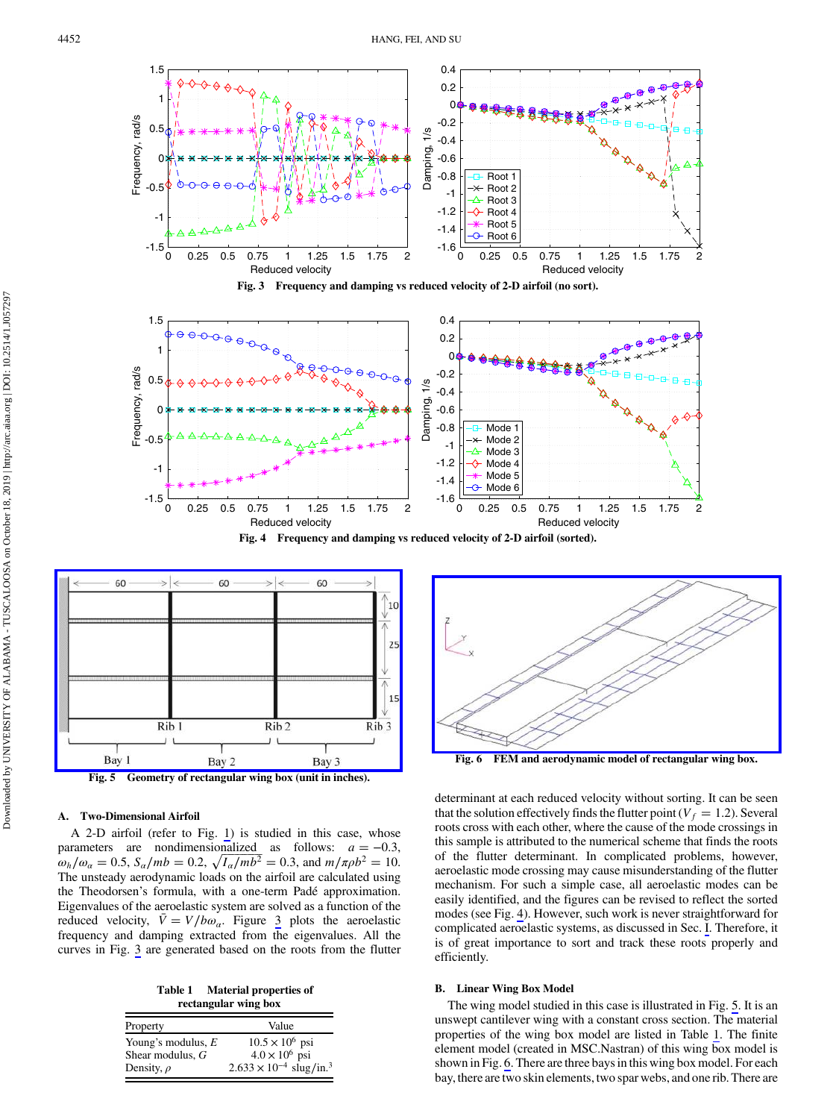









# A. Two-Dimensional Airfoil

A 2-D airfoil (refer to Fig. [1](#page-1-0)) is studied in this case, whose parameters are nondimensionalized as follows:  $a = -0.3$ ,  $\omega_h/\omega_a = 0.5$ ,  $S_a/mb = 0.2$ ,  $\sqrt{I_a/mb^2} = 0.3$ , and  $m/\pi\rho b^2 = 10$ .<br>The unsteady aerodynamic loads on the airfoil are calculated using 7  $\overline{\phantom{a}}$ l, l, 7  $\overline{1}$ , ŋ r į 5 ŗ  $\overline{c}$  $\overline{\phantom{a}}$ The unsteady aerodynamic loads on the airfoil are calculated using the Theodorsen's formula, with a one-term Padé approximation. Eigenvalues of the aeroelastic system are solved as a function of the reduced velocity,  $\overline{V} = V/b\omega_a$ . Figure 3 plots the aeroelastic frequency and damning extracted from the eigenvalues. All the frequency and damping extracted from the eigenvalues. All the curves in Fig. 3 are generated based on the roots from the flutter

Table 1 Material properties of rectangular wing box

| Property             | Value                                        |
|----------------------|----------------------------------------------|
| Young's modulus, $E$ | $10.5 \times 10^6$ psi                       |
| Shear modulus, G     | $4.0 \times 10^6$ psi                        |
| Density, $\rho$      | $2.633 \times 10^{-4}$ slug/in. <sup>3</sup> |



Fig. 6 FEM and aerodynamic model of rectangular wing box.

determinant at each reduced velocity without sorting. It can be seen that the solution effectively finds the flutter point ( $V_f = 1.2$ ). Several roots cross with each other, where the cause of the mode crossings in this sample is attributed to the numerical scheme that finds the roots of the flutter determinant. In complicated problems, however, aeroelastic mode crossing may cause misunderstanding of the flutter mechanism. For such a simple case, all aeroelastic modes can be easily identified, and the figures can be revised to reflect the sorted modes (see Fig. 4). However, such work is never straightforward for complicated aeroelastic systems, as discussed in Sec. [I](#page-0-0). Therefore, it is of great importance to sort and track these roots properly and efficiently.

# B. Linear Wing Box Model

The wing model studied in this case is illustrated in Fig. 5. It is an unswept cantilever wing with a constant cross section. The material properties of the wing box model are listed in Table 1. The finite element model (created in MSC.Nastran) of this wing box model is shown in Fig. 6. There are three bays in this wing box model. For each bay, there are two skin elements, two spar webs, and one rib. There are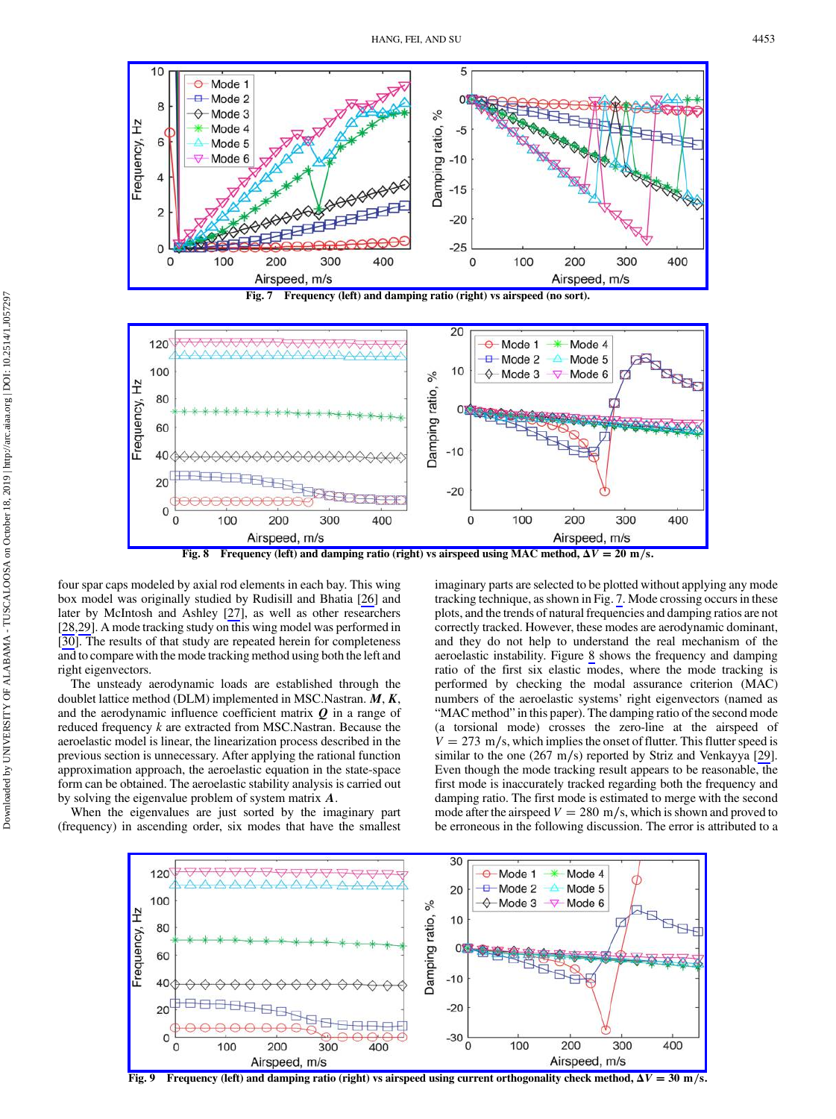<span id="page-6-0"></span>



Fig. 8 Frequency (left) and damping ratio (right) vs airspeed using MAC method,  $\Delta V = 20$  m/s.

four spar caps modeled by axial rod elements in each bay. This wing box model was originally studied by Rudisill and Bhatia [[26\]](#page-10-0) and later by McIntosh and Ashley [\[27](#page-10-0)], as well as other researchers [\[28](#page-10-0),[29\]](#page-10-0). A mode tracking study on this wing model was performed in [\[30](#page-10-0)]. The results of that study are repeated herein for completeness and to compare with the mode tracking method using both the left and right eigenvectors.

The unsteady aerodynamic loads are established through the doublet lattice method (DLM) implemented in MSC.Nastran.  $M, K$ , and the aerodynamic influence coefficient matrix  $Q$  in a range of reduced frequency k are extracted from MSC.Nastran. Because the aeroelastic model is linear, the linearization process described in the previous section is unnecessary. After applying the rational function approximation approach, the aeroelastic equation in the state-space form can be obtained. The aeroelastic stability analysis is carried out by solving the eigenvalue problem of system matrix A.

When the eigenvalues are just sorted by the imaginary part (frequency) in ascending order, six modes that have the smallest imaginary parts are selected to be plotted without applying any mode tracking technique, as shown in Fig. 7. Mode crossing occurs in these plots, and the trends of natural frequencies and damping ratios are not correctly tracked. However, these modes are aerodynamic dominant, and they do not help to understand the real mechanism of the aeroelastic instability. Figure 8 shows the frequency and damping ratio of the first six elastic modes, where the mode tracking is performed by checking the modal assurance criterion (MAC) numbers of the aeroelastic systems' right eigenvectors (named as "MAC method" in this paper). The damping ratio of the second mode (a torsional mode) crosses the zero-line at the airspeed of  $V = 273$  m/s, which implies the onset of flutter. This flutter speed is similar to the one (267 m/s) reported by Striz and Venkayya [\[29](#page-10-0)]. Even though the mode tracking result appears to be reasonable, the first mode is inaccurately tracked regarding both the frequency and damping ratio. The first mode is estimated to merge with the second mode after the airspeed  $V = 280$  m/s, which is shown and proved to be erroneous in the following discussion. The error is attributed to a



Frequency (left) and damping ratio (right) vs airspeed using current orthogonality check method,  $\Delta V = 30$  m/s.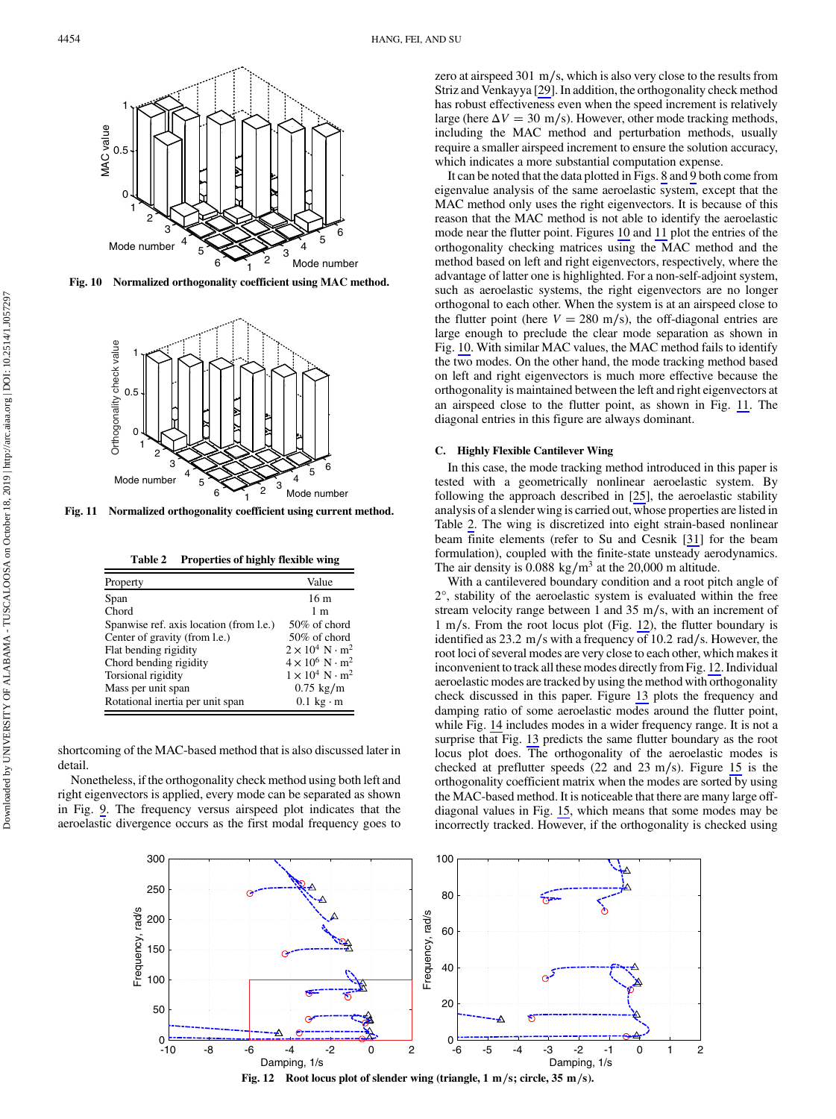

Fig. 10 Normalized orthogonality coefficient using MAC method.



Fig. 11 Normalized orthogonality coefficient using current method.

Table 2 Properties of highly flexible wing

| Property                                | Value                                    |
|-----------------------------------------|------------------------------------------|
| Span                                    | 16 m                                     |
| Chord                                   | 1 <sub>m</sub>                           |
| Spanwise ref. axis location (from l.e.) | 50% of chord                             |
| Center of gravity (from l.e.)           | 50% of chord                             |
| Flat bending rigidity                   | $2 \times 10^4$ N $\cdot$ m <sup>2</sup> |
| Chord bending rigidity                  | $4 \times 10^6$ N $\cdot$ m <sup>2</sup> |
| Torsional rigidity                      | $1 \times 10^4$ N $\cdot$ m <sup>2</sup> |
| Mass per unit span                      | $0.75 \text{ kg/m}$                      |
| Rotational inertia per unit span        | $0.1 \text{ kg} \cdot \text{m}$          |

shortcoming of the MAC-based method that is also discussed later in detail.

Nonetheless, if the orthogonality check method using both left and right eigenvectors is applied, every mode can be separated as shown in Fig. [9](#page-6-0). The frequency versus airspeed plot indicates that the aeroelastic divergence occurs as the first modal frequency goes to zero at airspeed 301 m∕s, which is also very close to the results from Striz and Venkayya [[29\]](#page-10-0). In addition, the orthogonality check method has robust effectiveness even when the speed increment is relatively large (here  $\Delta V = 30$  m/s). However, other mode tracking methods, including the MAC method and perturbation methods, usually require a smaller airspeed increment to ensure the solution accuracy, which indicates a more substantial computation expense.

It can be noted that the data plotted in Figs. [8](#page-6-0) and [9](#page-6-0) both come from eigenvalue analysis of the same aeroelastic system, except that the MAC method only uses the right eigenvectors. It is because of this reason that the MAC method is not able to identify the aeroelastic mode near the flutter point. Figures 10 and 11 plot the entries of the orthogonality checking matrices using the MAC method and the method based on left and right eigenvectors, respectively, where the advantage of latter one is highlighted. For a non-self-adjoint system, such as aeroelastic systems, the right eigenvectors are no longer orthogonal to each other. When the system is at an airspeed close to the flutter point (here  $V = 280$  m/s), the off-diagonal entries are large enough to preclude the clear mode separation as shown in Fig. 10. With similar MAC values, the MAC method fails to identify the two modes. On the other hand, the mode tracking method based on left and right eigenvectors is much more effective because the orthogonality is maintained between the left and right eigenvectors at an airspeed close to the flutter point, as shown in Fig. 11. The diagonal entries in this figure are always dominant.

## C. Highly Flexible Cantilever Wing

In this case, the mode tracking method introduced in this paper is tested with a geometrically nonlinear aeroelastic system. By following the approach described in [\[25](#page-10-0)], the aeroelastic stability analysis of a slender wing is carried out, whose properties are listed in Table 2. The wing is discretized into eight strain-based nonlinear beam finite elements (refer to Su and Cesnik [[31\]](#page-10-0) for the beam formulation), coupled with the finite-state unsteady aerodynamics. The air density is  $0.088 \text{ kg/m}^3$  at the 20,000 m altitude.

With a cantilevered boundary condition and a root pitch angle of 2°, stability of the aeroelastic system is evaluated within the free stream velocity range between 1 and 35 m∕s, with an increment of 1 m∕s. From the root locus plot (Fig. 12), the flutter boundary is identified as 23.2 m∕s with a frequency of 10.2 rad∕s. However, the root loci of several modes are very close to each other, which makes it inconvenient to track all these modes directly from Fig. 12. Individual aeroelastic modes are tracked by using the method with orthogonality check discussed in this paper. Figure [13](#page-8-0) plots the frequency and damping ratio of some aeroelastic modes around the flutter point, while Fig. [14](#page-8-0) includes modes in a wider frequency range. It is not a surprise that Fig. [13](#page-8-0) predicts the same flutter boundary as the root locus plot does. The orthogonality of the aeroelastic modes is checked at preflutter speeds (22 and 23 m∕s). Figure [15](#page-8-0) is the orthogonality coefficient matrix when the modes are sorted by using the MAC-based method. It is noticeable that there are many large offdiagonal values in Fig. [15,](#page-8-0) which means that some modes may be incorrectly tracked. However, if the orthogonality is checked using



Fig. 12 Root locus plot of slender wing (triangle, 1 m∕s; circle, 35 m∕s).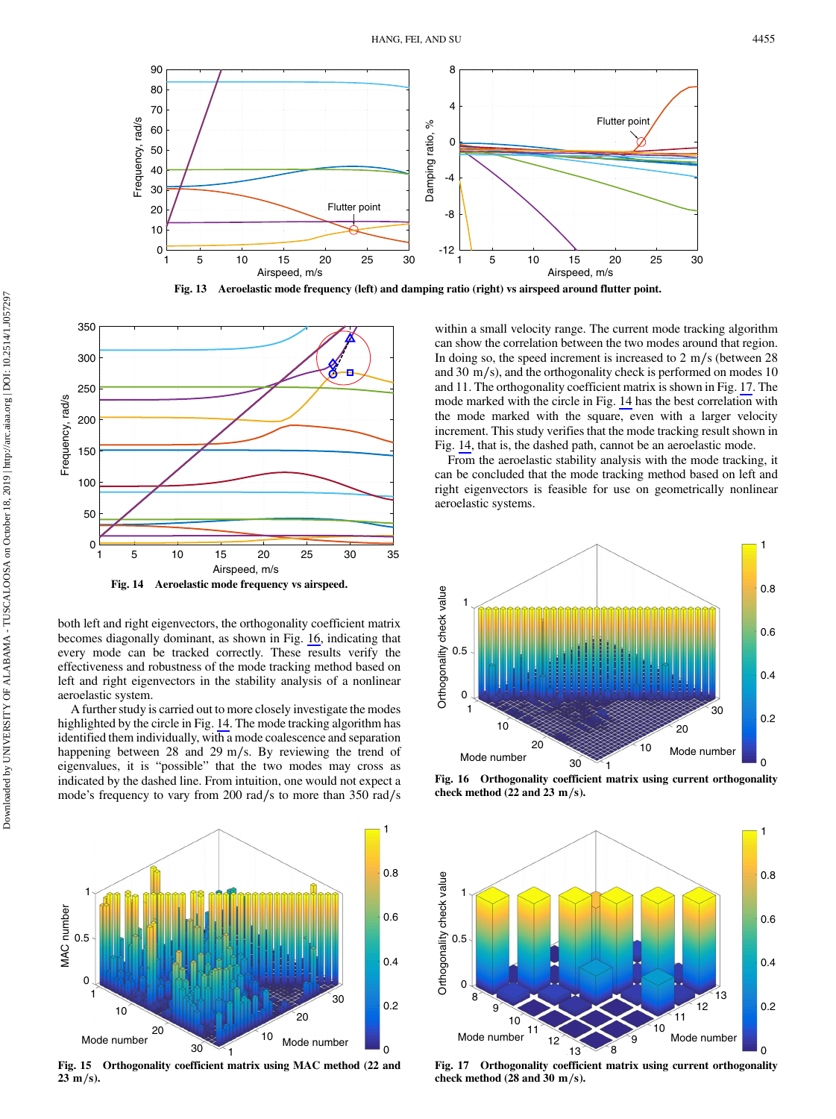<span id="page-8-0"></span>





both left and right eigenvectors, the orthogonality coefficient matrix becomes diagonally dominant, as shown in Fig. 16, indicating that every mode can be tracked correctly. These results verify the effectiveness and robustness of the mode tracking method based on left and right eigenvectors in the stability analysis of a nonlinear aeroelastic system.

A further study is carried out to more closely investigate the modes highlighted by the circle in Fig. 14. The mode tracking algorithm has identified them individually, with a mode coalescence and separation happening between 28 and 29 m∕s. By reviewing the trend of eigenvalues, it is "possible" that the two modes may cross as indicated by the dashed line. From intuition, one would not expect a mode's frequency to vary from 200 rad∕s to more than 350 rad∕s



Fig. 15 Orthogonality coefficient matrix using MAC method (22 and 23 m∕s).

within a small velocity range. The current mode tracking algorithm can show the correlation between the two modes around that region. In doing so, the speed increment is increased to 2 m∕s (between 28 and 30 m∕s), and the orthogonality check is performed on modes 10 and 11. The orthogonality coefficient matrix is shown in Fig. 17. The mode marked with the circle in Fig. 14 has the best correlation with the mode marked with the square, even with a larger velocity increment. This study verifies that the mode tracking result shown in Fig. 14, that is, the dashed path, cannot be an aeroelastic mode.

From the aeroelastic stability analysis with the mode tracking, it can be concluded that the mode tracking method based on left and right eigenvectors is feasible for use on geometrically nonlinear aeroelastic systems.



Fig. 16 Orthogonality coefficient matrix using current orthogonality check method (22 and 23 m/s).



Fig. 17 Orthogonality coefficient matrix using current orthogonality check method (28 and 30 m∕s).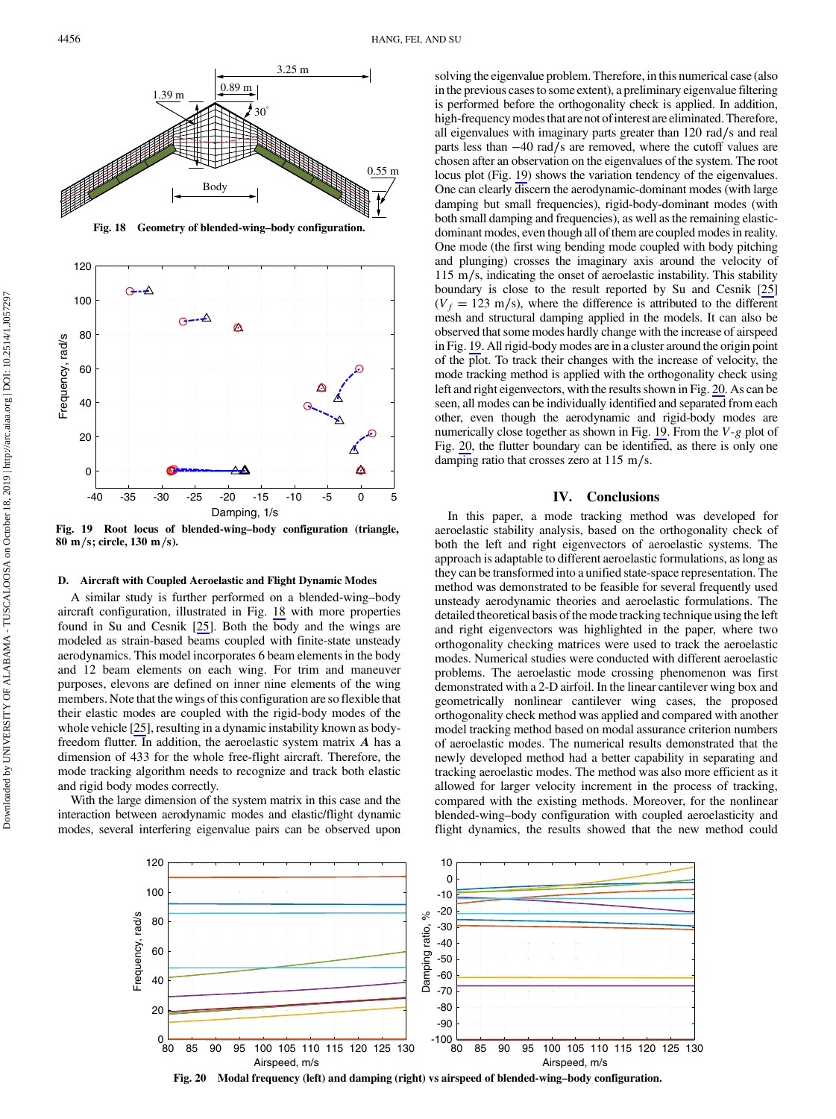4456 HANG, FEI, AND SU



 $-40$   $-35$   $-30$   $-25$   $-20$   $-15$   $-10$   $-5$   $0$   $5$ <br>Damping,  $1/s$ <br>Fig. 19 Root locus of blended-wing–body configuration (triangle, 80 m∕s; circle, 130 m∕s).

Damping, 1/s

#### D. Aircraft with Coupled Aeroelastic and Flight Dynamic Modes

A similar study is further performed on a blended-wing–body aircraft configuration, illustrated in Fig. 18 with more properties found in Su and Cesnik [[25\]](#page-10-0). Both the body and the wings are modeled as strain-based beams coupled with finite-state unsteady aerodynamics. This model incorporates 6 beam elements in the body and 12 beam elements on each wing. For trim and maneuver purposes, elevons are defined on inner nine elements of the wing members. Note that the wings of this configuration are so flexible that their elastic modes are coupled with the rigid-body modes of the whole vehicle [[25\]](#page-10-0), resulting in a dynamic instability known as bodyfreedom flutter. In addition, the aeroelastic system matrix A has a dimension of 433 for the whole free-flight aircraft. Therefore, the mode tracking algorithm needs to recognize and track both elastic and rigid body modes correctly.

With the large dimension of the system matrix in this case and the interaction between aerodynamic modes and elastic/flight dynamic modes, several interfering eigenvalue pairs can be observed upon solving the eigenvalue problem. Therefore, in this numerical case (also in the previous cases to some extent), a preliminary eigenvalue filtering is performed before the orthogonality check is applied. In addition, high-frequency modes that are not of interest are eliminated. Therefore, all eigenvalues with imaginary parts greater than 120 rad∕s and real parts less than −40 rad∕s are removed, where the cutoff values are chosen after an observation on the eigenvalues of the system. The root locus plot (Fig. 19) shows the variation tendency of the eigenvalues. One can clearly discern the aerodynamic-dominant modes (with large damping but small frequencies), rigid-body-dominant modes (with both small damping and frequencies), as well as the remaining elasticdominant modes, even though all of them are coupled modes in reality. One mode (the first wing bending mode coupled with body pitching and plunging) crosses the imaginary axis around the velocity of 115 m∕s, indicating the onset of aeroelastic instability. This stability boundary is close to the result reported by Su and Cesnik [[25\]](#page-10-0)  $(V_f = 123 \text{ m/s})$ , where the difference is attributed to the different mesh and structural damping applied in the models. It can also be observed that some modes hardly change with the increase of airspeed in Fig. 19. All rigid-body modes are in a cluster around the origin point of the plot. To track their changes with the increase of velocity, the mode tracking method is applied with the orthogonality check using left and right eigenvectors, with the results shown in Fig. 20. As can be seen, all modes can be individually identified and separated from each other, even though the aerodynamic and rigid-body modes are numerically close together as shown in Fig. 19. From the V-g plot of Fig. 20, the flutter boundary can be identified, as there is only one damping ratio that crosses zero at 115 m∕s.

# IV. Conclusions

In this paper, a mode tracking method was developed for aeroelastic stability analysis, based on the orthogonality check of both the left and right eigenvectors of aeroelastic systems. The approach is adaptable to different aeroelastic formulations, as long as they can be transformed into a unified state-space representation. The method was demonstrated to be feasible for several frequently used unsteady aerodynamic theories and aeroelastic formulations. The detailed theoretical basis of the mode tracking technique using the left and right eigenvectors was highlighted in the paper, where two orthogonality checking matrices were used to track the aeroelastic modes. Numerical studies were conducted with different aeroelastic problems. The aeroelastic mode crossing phenomenon was first demonstrated with a 2-D airfoil. In the linear cantilever wing box and geometrically nonlinear cantilever wing cases, the proposed orthogonality check method was applied and compared with another model tracking method based on modal assurance criterion numbers of aeroelastic modes. The numerical results demonstrated that the newly developed method had a better capability in separating and tracking aeroelastic modes. The method was also more efficient as it allowed for larger velocity increment in the process of tracking, compared with the existing methods. Moreover, for the nonlinear blended-wing–body configuration with coupled aeroelasticity and flight dynamics, the results showed that the new method could